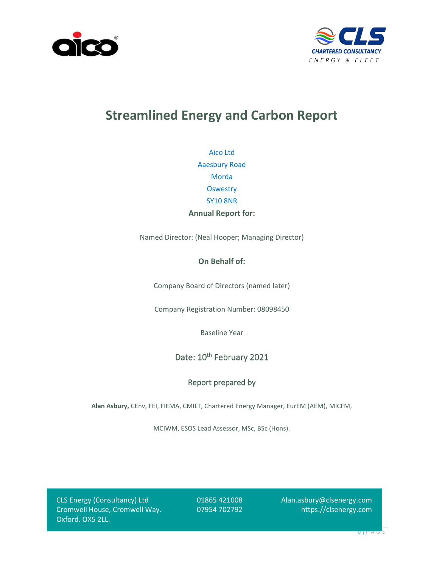



# **Streamlined Energy and Carbon Report**

Aico Ltd Aaesbury Road Morda **Oswestry** SY10 8NR **Annual Report for:**

Named Director: (Neal Hooper; Managing Director)

### **On Behalf of:**

Company Board of Directors (named later)

Company Registration Number: 08098450

Baseline Year

Date: 10<sup>th</sup> February 2021

### Report prepared by

**Alan Asbury,** CEnv, FEI, FIEMA, CMILT, Chartered Energy Manager, EurEM (AEM), MICFM,

MCIWM, ESOS Lead Assessor, MSc, BSc (Hons).

CLS Energy (Consultancy) Ltd Cromwell House, Cromwell Way. Oxford. OX5 2LL.

01865 421008 07954 702792

Alan.asbury@clsenergy.com https://clsenergy.com

 $UT<sup>P</sup> A G$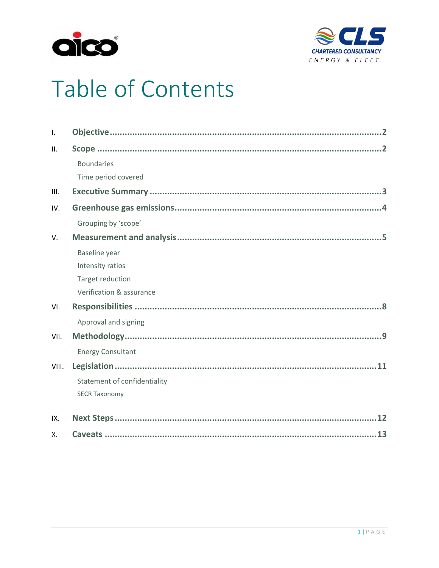



# Table of Contents

| $\mathbf{I}$ . |                              |
|----------------|------------------------------|
| II.            |                              |
|                | <b>Boundaries</b>            |
|                | Time period covered          |
| III.           |                              |
| IV.            |                              |
|                | Grouping by 'scope'          |
| V.             |                              |
|                | Baseline year                |
|                | Intensity ratios             |
|                | Target reduction             |
|                | Verification & assurance     |
| VI.            |                              |
|                | Approval and signing         |
| VII.           |                              |
|                | <b>Energy Consultant</b>     |
| VIII.          |                              |
|                | Statement of confidentiality |
|                | <b>SECR Taxonomy</b>         |
| IX.            |                              |
| Х.             |                              |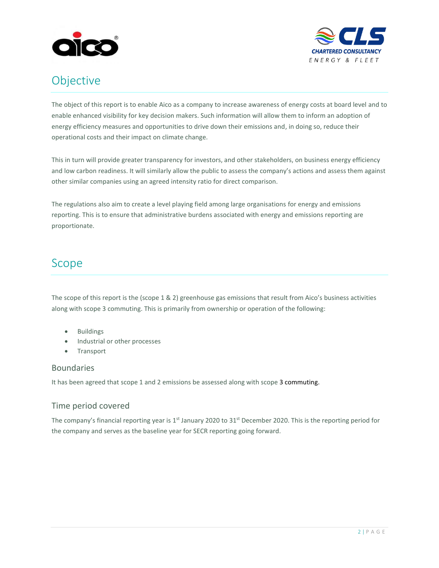



# <span id="page-2-0"></span>Objective

The object of this report is to enable Aico as a company to increase awareness of energy costs at board level and to enable enhanced visibility for key decision makers. Such information will allow them to inform an adoption of energy efficiency measures and opportunities to drive down their emissions and, in doing so, reduce their operational costs and their impact on climate change.

This in turn will provide greater transparency for investors, and other stakeholders, on business energy efficiency and low carbon readiness. It will similarly allow the public to assess the company's actions and assess them against other similar companies using an agreed intensity ratio for direct comparison.

The regulations also aim to create a level playing field among large organisations for energy and emissions reporting. This is to ensure that administrative burdens associated with energy and emissions reporting are proportionate.

# <span id="page-2-1"></span>Scope

The scope of this report is the (scope 1 & 2) greenhouse gas emissions that result from Aico's business activities along with scope 3 commuting. This is primarily from ownership or operation of the following:

- Buildings
- Industrial or other processes
- Transport

### <span id="page-2-2"></span>Boundaries

It has been agreed that scope 1 and 2 emissions be assessed along with scope 3 commuting.

### <span id="page-2-3"></span>Time period covered

The company's financial reporting year is 1<sup>st</sup> January 2020 to 31<sup>st</sup> December 2020. This is the reporting period for the company and serves as the baseline year for SECR reporting going forward.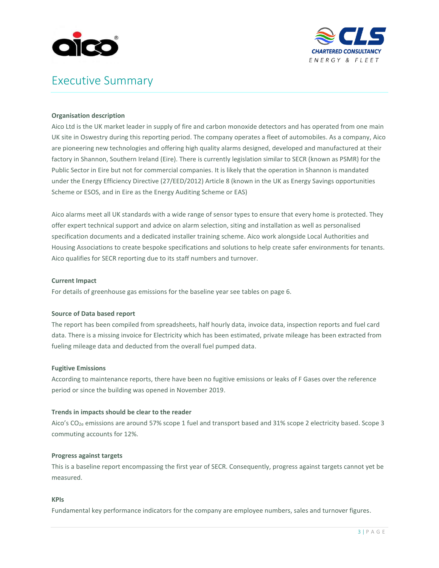



# <span id="page-3-0"></span>Executive Summary

#### **Organisation description**

Aico Ltd is the UK market leader in supply of fire and carbon monoxide detectors and has operated from one main UK site in Oswestry during this reporting period. The company operates a fleet of automobiles. As a company, Aico are pioneering new technologies and offering high quality alarms designed, developed and manufactured at their factory in Shannon, Southern Ireland (Eire). There is currently legislation similar to SECR (known as PSMR) for the Public Sector in Eire but not for commercial companies. It is likely that the operation in Shannon is mandated under the Energy Efficiency Directive (27/EED/2012) Article 8 (known in the UK as Energy Savings opportunities Scheme or ESOS, and in Eire as the Energy Auditing Scheme or EAS)

Aico alarms meet all UK standards with a wide range of sensor types to ensure that every home is protected. They offer expert technical support and advice on alarm selection, siting and installation as well as personalised specification documents and a dedicated installer training scheme. Aico work alongside Local Authorities and Housing Associations to create bespoke specifications and solutions to help create safer environments for tenants. Aico qualifies for SECR reporting due to its staff numbers and turnover.

#### **Current Impact**

For details of greenhouse gas emissions for the baseline year see tables on page 6.

#### **Source of Data based report**

The report has been compiled from spreadsheets, half hourly data, invoice data, inspection reports and fuel card data. There is a missing invoice for Electricity which has been estimated, private mileage has been extracted from fueling mileage data and deducted from the overall fuel pumped data.

#### **Fugitive Emissions**

According to maintenance reports, there have been no fugitive emissions or leaks of F Gases over the reference period or since the building was opened in November 2019.

#### **Trends in impacts should be clear to the reader**

Aico's CO2e emissions are around 57% scope 1 fuel and transport based and 31% scope 2 electricity based. Scope 3 commuting accounts for 12%.

#### **Progress against targets**

This is a baseline report encompassing the first year of SECR. Consequently, progress against targets cannot yet be measured.

#### **KPIs**

Fundamental key performance indicators for the company are employee numbers, sales and turnover figures.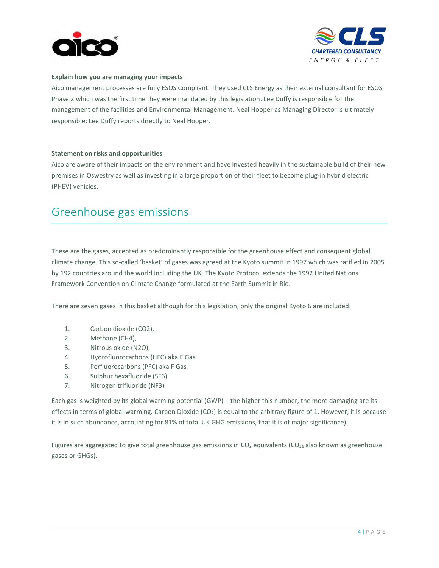



#### **Explain how you are managing your impacts**

Aico management processes are fully ESOS Compliant. They used CLS Energy as their external consultant for ESOS Phase 2 which was the first time they were mandated by this legislation. Lee Duffy is responsible for the management of the facilities and Environmental Management. Neal Hooper as Managing Director is ultimately responsible; Lee Duffy reports directly to Neal Hooper.

#### **Statement on risks and opportunities**

Aico are aware of their impacts on the environment and have invested heavily in the sustainable build of their new premises in Oswestry as well as investing in a large proportion of their fleet to become plug-in hybrid electric (PHEV) vehicles.

# <span id="page-4-0"></span>Greenhouse gas emissions

These are the gases, accepted as predominantly responsible for the greenhouse effect and consequent global climate change. This so-called 'basket' of gases was agreed at the Kyoto summit in 1997 which was ratified in 2005 by 192 countries around the world including the UK. The Kyoto Protocol extends the 1992 United Nations Framework Convention on Climate Change formulated at the Earth Summit in Rio.

There are seven gases in this basket although for this legislation, only the original Kyoto 6 are included:

- 1. Carbon dioxide (CO2),
- 2. Methane (CH4),
- 3. Nitrous oxide (N2O),
- 4. Hydrofluorocarbons (HFC) aka F Gas
- 5. Perfluorocarbons (PFC) aka F Gas
- 6. Sulphur hexafluoride (SF6).
- 7. Nitrogen trifluoride (NF3)

Each gas is weighted by its global warming potential (GWP) – the higher this number, the more damaging are its effects in terms of global warming. Carbon Dioxide ( $CO<sub>2</sub>$ ) is equal to the arbitrary figure of 1. However, it is because it is in such abundance, accounting for 81% of total UK GHG emissions, that it is of major significance).

Figures are aggregated to give total greenhouse gas emissions in CO<sub>2</sub> equivalents (CO<sub>2e</sub> also known as greenhouse gases or GHGs).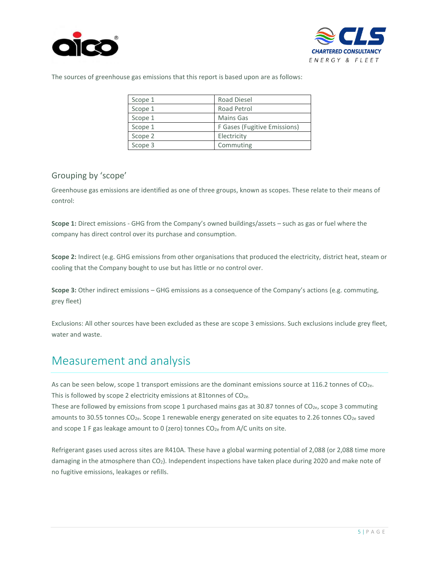



The sources of greenhouse gas emissions that this report is based upon are as follows:

| Scope 1 | <b>Road Diesel</b>           |
|---------|------------------------------|
| Scope 1 | Road Petrol                  |
| Scope 1 | <b>Mains Gas</b>             |
| Scope 1 | F Gases (Fugitive Emissions) |
| Scope 2 | Electricity                  |
| Scope 3 | Commuting                    |

### <span id="page-5-0"></span>Grouping by 'scope'

Greenhouse gas emissions are identified as one of three groups, known as scopes. These relate to their means of control:

**Scope 1:** Direct emissions - GHG from the Company's owned buildings/assets – such as gas or fuel where the company has direct control over its purchase and consumption.

**Scope 2:** Indirect (e.g. GHG emissions from other organisations that produced the electricity, district heat, steam or cooling that the Company bought to use but has little or no control over.

**Scope 3:** Other indirect emissions – GHG emissions as a consequence of the Company's actions (e.g. commuting, grey fleet)

Exclusions: All other sources have been excluded as these are scope 3 emissions. Such exclusions include grey fleet, water and waste.

# <span id="page-5-1"></span>Measurement and analysis

As can be seen below, scope 1 transport emissions are the dominant emissions source at 116.2 tonnes of CO<sub>2e</sub>. This is followed by scope 2 electricity emissions at 81tonnes of  $CO<sub>2e</sub>$ .

These are followed by emissions from scope 1 purchased mains gas at 30.87 tonnes of CO2e, scope 3 commuting amounts to 30.55 tonnes CO<sub>2e</sub>. Scope 1 renewable energy generated on site equates to 2.26 tonnes CO<sub>2e</sub> saved and scope 1 F gas leakage amount to 0 (zero) tonnes  $CO_{2e}$  from A/C units on site.

<span id="page-5-2"></span>Refrigerant gases used across sites are R410A. These have a global warming potential of 2,088 (or 2,088 time more damaging in the atmosphere than CO2). Independent inspections have taken place during 2020 and make note of no fugitive emissions, leakages or refills.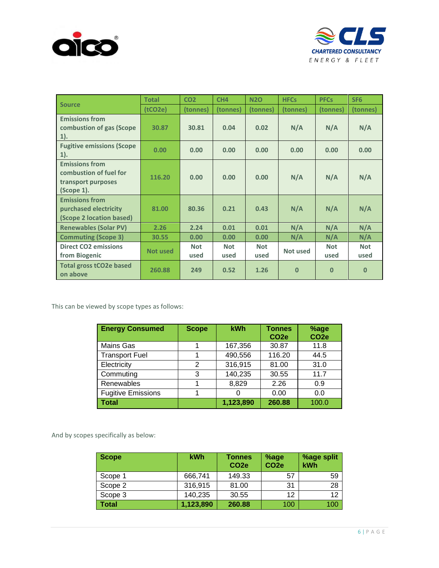



|                                                                                     | <b>Total</b>    | CO <sub>2</sub>    | CH <sub>4</sub>    | <b>N2O</b>         | <b>HFCs</b> | <b>PFCs</b>        | SF <sub>6</sub>    |
|-------------------------------------------------------------------------------------|-----------------|--------------------|--------------------|--------------------|-------------|--------------------|--------------------|
| <b>Source</b>                                                                       | (tCO2e)         | (tonnes)           | (tonnes)           | (tonnes)           | (tonnes)    | (tonnes)           | (tonnes)           |
| <b>Emissions from</b><br>combustion of gas (Scope<br>$1$ ).                         | 30.87           | 30.81              | 0.04               | 0.02               | N/A         | N/A                | N/A                |
| <b>Fugitive emissions (Scope</b><br>$1$ ).                                          | 0.00            | 0.00               | 0.00               | 0.00               | 0.00        | 0.00               | 0.00               |
| <b>Emissions from</b><br>combustion of fuel for<br>transport purposes<br>(Scope 1). | 116.20          | 0.00               | 0.00               | 0.00               | N/A         | N/A                | N/A                |
| <b>Emissions from</b><br>purchased electricity<br>(Scope 2 location based)          | 81.00           | 80.36              | 0.21               | 0.43               | N/A         | N/A                | N/A                |
| <b>Renewables (Solar PV)</b>                                                        | 2.26            | 2.24               | 0.01               | 0.01               | N/A         | N/A                | N/A                |
| <b>Commuting (Scope 3)</b>                                                          | 30.55           | 0.00               | 0.00               | 0.00               | N/A         | N/A                | N/A                |
| <b>Direct CO2 emissions</b><br>from Biogenic                                        | <b>Not used</b> | <b>Not</b><br>used | <b>Not</b><br>used | <b>Not</b><br>used | Not used    | <b>Not</b><br>used | <b>Not</b><br>used |
| <b>Total gross tCO2e based</b><br>on above                                          | 260.88          | 249                | 0.52               | 1.26               | $\bf{0}$    | $\bf{0}$           | $\Omega$           |

This can be viewed by scope types as follows:

| <b>Energy Consumed</b>    | <b>Scope</b> | <b>kWh</b> | <b>Tonnes</b><br>CO <sub>2e</sub> | %age<br>CO <sub>2e</sub> |
|---------------------------|--------------|------------|-----------------------------------|--------------------------|
| Mains Gas                 |              | 167,356    | 30.87                             | 11.8                     |
| <b>Transport Fuel</b>     |              | 490,556    | 116.20                            | 44.5                     |
| Electricity               | 2            | 316,915    | 81.00                             | 31.0                     |
| Commuting                 | 3            | 140,235    | 30.55                             | 11.7                     |
| Renewables                |              | 8,829      | 2.26                              | 0.9                      |
| <b>Fugitive Emissions</b> |              |            | 0.00                              | 0.0                      |
| <b>Total</b>              |              | 1,123,890  | 260.88                            | 100.0                    |

And by scopes specifically as below:

| Scope        | kWh       | Tonnes<br>CO <sub>2e</sub> | %age<br>CO <sub>2e</sub> | %age split<br><b>kWh</b> |
|--------------|-----------|----------------------------|--------------------------|--------------------------|
| Scope 1      | 666,741   | 149.33                     | -57                      | 59                       |
| Scope 2      | 316,915   | 81.00                      | 31                       | 28                       |
| Scope 3      | 140,235   | 30.55                      | 12                       | 12                       |
| <b>Total</b> | 1,123,890 | 260.88                     | 100                      | 100                      |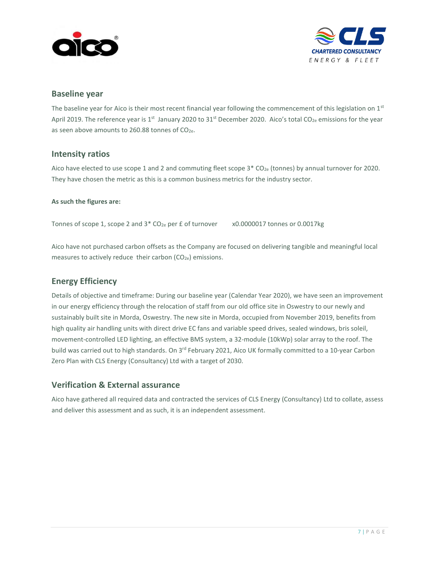



#### **Baseline year**

<span id="page-7-0"></span>The baseline year for Aico is their most recent financial year following the commencement of this legislation on  $1<sup>st</sup>$ April 2019. The reference year is 1<sup>st</sup> January 2020 to 31<sup>st</sup> December 2020. Aico's total CO<sub>2e</sub> emissions for the year as seen above amounts to 260.88 tonnes of CO<sub>2e</sub>.

#### **Intensity ratios**

Aico have elected to use scope 1 and 2 and commuting fleet scope  $3* CO_{2e}$  (tonnes) by annual turnover for 2020. They have chosen the metric as this is a common business metrics for the industry sector.

#### **As such the figures are:**

Tonnes of scope 1, scope 2 and 3\* CO<sub>2e</sub> per £ of turnover x0.0000017 tonnes or 0.0017kg

<span id="page-7-1"></span>Aico have not purchased carbon offsets as the Company are focused on delivering tangible and meaningful local measures to actively reduce their carbon  $(CO_{2e})$  emissions.

#### **Energy Efficiency**

Details of objective and timeframe: During our baseline year (Calendar Year 2020), we have seen an improvement in our energy efficiency through the relocation of staff from our old office site in Oswestry to our newly and sustainably built site in Morda, Oswestry. The new site in Morda, occupied from November 2019, benefits from high quality air handling units with direct drive EC fans and variable speed drives, sealed windows, bris soleil, movement-controlled LED lighting, an effective BMS system, a 32-module (10kWp) solar array to the roof. The build was carried out to high standards. On 3<sup>rd</sup> February 2021, Aico UK formally committed to a 10-year Carbon Zero Plan with CLS Energy (Consultancy) Ltd with a target of 2030.

### <span id="page-7-2"></span>**Verification & External assurance**

Aico have gathered all required data and contracted the services of CLS Energy (Consultancy) Ltd to collate, assess and deliver this assessment and as such, it is an independent assessment.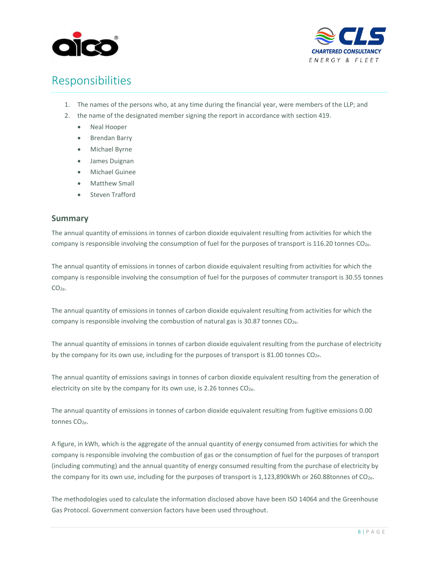



# <span id="page-8-0"></span>Responsibilities

- 1. The names of the persons who, at any time during the financial year, were members of the LLP; and
- 2. the name of the designated member signing the report in accordance with section 419.
	- Neal Hooper
	- Brendan Barry
	- Michael Byrne
	- James Duignan
	- Michael Guinee
	- Matthew Small
	- Steven Trafford

#### <span id="page-8-1"></span>**Summary**

The annual quantity of emissions in tonnes of carbon dioxide equivalent resulting from activities for which the company is responsible involving the consumption of fuel for the purposes of transport is 116.20 tonnes CO2e.

The annual quantity of emissions in tonnes of carbon dioxide equivalent resulting from activities for which the company is responsible involving the consumption of fuel for the purposes of commuter transport is 30.55 tonnes CO<sub>2e</sub>.

The annual quantity of emissions in tonnes of carbon dioxide equivalent resulting from activities for which the company is responsible involving the combustion of natural gas is 30.87 tonnes CO2e.

The annual quantity of emissions in tonnes of carbon dioxide equivalent resulting from the purchase of electricity by the company for its own use, including for the purposes of transport is 81.00 tonnes CO<sub>2e</sub>.

The annual quantity of emissions savings in tonnes of carbon dioxide equivalent resulting from the generation of electricity on site by the company for its own use, is 2.26 tonnes  $CO<sub>2e</sub>$ .

The annual quantity of emissions in tonnes of carbon dioxide equivalent resulting from fugitive emissions 0.00 tonnes CO<sub>2e</sub>.

A figure, in kWh, which is the aggregate of the annual quantity of energy consumed from activities for which the company is responsible involving the combustion of gas or the consumption of fuel for the purposes of transport (including commuting) and the annual quantity of energy consumed resulting from the purchase of electricity by the company for its own use, including for the purposes of transport is 1,123,890kWh or 260.88tonnes of CO2e.

The methodologies used to calculate the information disclosed above have been ISO 14064 and the Greenhouse Gas Protocol. Government conversion factors have been used throughout.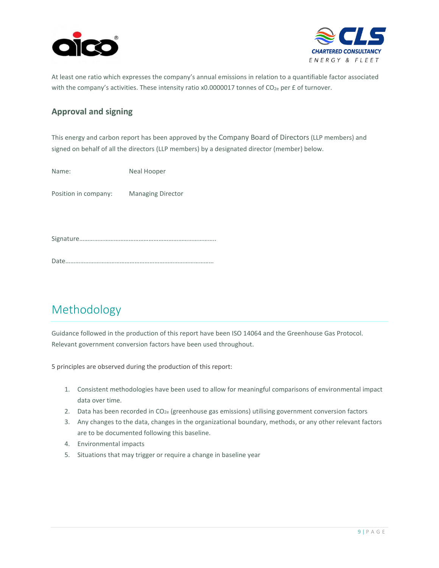



At least one ratio which expresses the company's annual emissions in relation to a quantifiable factor associated with the company's activities. These intensity ratio x0.0000017 tonnes of CO<sub>2e</sub> per £ of turnover.

### **Approval and signing**

This energy and carbon report has been approved by the Company Board of Directors (LLP members) and signed on behalf of all the directors (LLP members) by a designated director (member) below.

Name: Neal Hooper

Position in company: Managing Director

Signature………………………………………………………………………..

Date………………………………………………………………………………

# <span id="page-9-0"></span>Methodology

Guidance followed in the production of this report have been ISO 14064 and the Greenhouse Gas Protocol. Relevant government conversion factors have been used throughout.

5 principles are observed during the production of this report:

- 1. Consistent methodologies have been used to allow for meaningful comparisons of environmental impact data over time.
- 2. Data has been recorded in  $CO<sub>2e</sub>$  (greenhouse gas emissions) utilising government conversion factors
- 3. Any changes to the data, changes in the organizational boundary, methods, or any other relevant factors are to be documented following this baseline.
- 4. Environmental impacts
- 5. Situations that may trigger or require a change in baseline year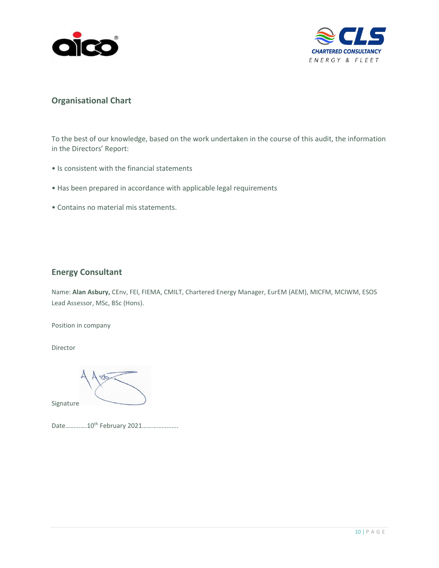



### **Organisational Chart**

<span id="page-10-0"></span>To the best of our knowledge, based on the work undertaken in the course of this audit, the information in the Directors' Report:

- Is consistent with the financial statements
- Has been prepared in accordance with applicable legal requirements
- Contains no material mis statements.

### **Energy Consultant**

Name: **Alan Asbury,** CEnv, FEI, FIEMA, CMILT, Chartered Energy Manager, EurEM (AEM), MICFM, MCIWM, ESOS Lead Assessor, MSc, BSc (Hons).

Position in company

Director

Signature

Date..............10<sup>th</sup> February 2021.......................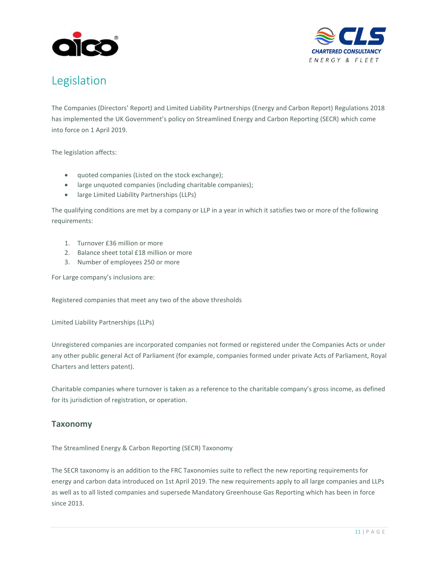



# <span id="page-11-0"></span>Legislation

The Companies (Directors' Report) and Limited Liability Partnerships (Energy and Carbon Report) Regulations 2018 has implemented the UK Government's policy on Streamlined Energy and Carbon Reporting (SECR) which come into force on 1 April 2019.

The legislation affects:

- quoted companies (Listed on the stock exchange);
- large unquoted companies (including charitable companies);
- large Limited Liability Partnerships (LLPs)

The qualifying conditions are met by a company or LLP in a year in which it satisfies two or more of the following requirements:

- 1. Turnover £36 million or more
- 2. Balance sheet total £18 million or more
- 3. Number of employees 250 or more

For Large company's inclusions are:

Registered companies that meet any two of the above thresholds

Limited Liability Partnerships (LLPs)

Unregistered companies are incorporated companies not formed or registered under the Companies Acts or under any other public general Act of Parliament (for example, companies formed under private Acts of Parliament, Royal Charters and letters patent).

Charitable companies where turnover is taken as a reference to the charitable company's gross income, as defined for its jurisdiction of registration, or operation.

### **Taxonomy**

The Streamlined Energy & Carbon Reporting (SECR) Taxonomy

The SECR taxonomy is an addition to the FRC Taxonomies suite to reflect the new reporting requirements for energy and carbon data introduced on 1st April 2019. The new requirements apply to all large companies and LLPs as well as to all listed companies and supersede Mandatory Greenhouse Gas Reporting which has been in force since 2013.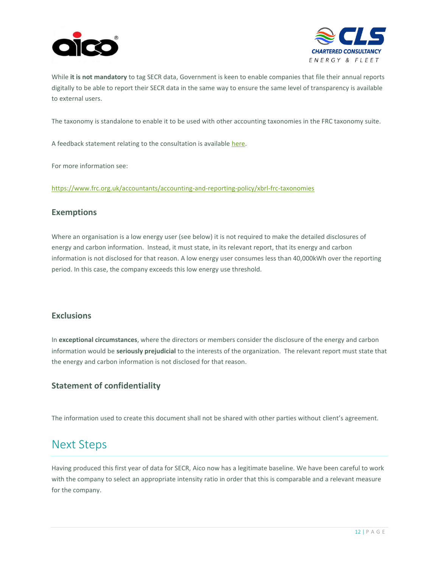



While **it is not mandatory** to tag SECR data, Government is keen to enable companies that file their annual reports digitally to be able to report their SECR data in the same way to ensure the same level of transparency is available to external users.

The taxonomy is standalone to enable it to be used with other accounting taxonomies in the FRC taxonomy suite.

A feedback statement relating to the consultation is available [here.](https://www.frc.org.uk/document-library/accounting-and-reporting-policy/xbrl/2019/secr-taxonomy-feedback-statement-2019)

For more information see:

<https://www.frc.org.uk/accountants/accounting-and-reporting-policy/xbrl-frc-taxonomies>

#### **Exemptions**

Where an organisation is a low energy user (see below) it is not required to make the detailed disclosures of energy and carbon information. Instead, it must state, in its relevant report, that its energy and carbon information is not disclosed for that reason. A low energy user consumes less than 40,000kWh over the reporting period. In this case, the company exceeds this low energy use threshold.

### **Exclusions**

In **exceptional circumstances**, where the directors or members consider the disclosure of the energy and carbon information would be **seriously prejudicial** to the interests of the organization. The relevant report must state that the energy and carbon information is not disclosed for that reason.

### <span id="page-12-0"></span>**Statement of confidentiality**

The information used to create this document shall not be shared with other parties without client's agreement.

### <span id="page-12-1"></span>Next Steps

Having produced this first year of data for SECR, Aico now has a legitimate baseline. We have been careful to work with the company to select an appropriate intensity ratio in order that this is comparable and a relevant measure for the company.